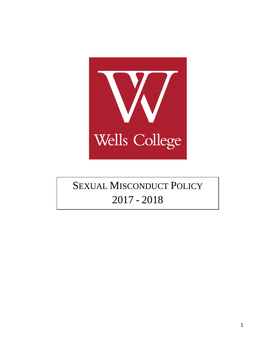

# SEXUAL MISCONDUCT POLICY - 2018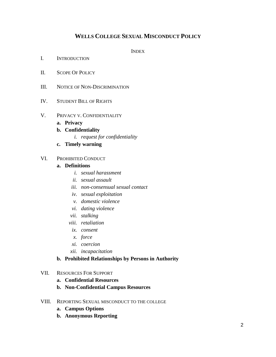### **WELLS COLLEGE SEXUAL MISCONDUCT POLICY**

**INDEX** 

- I. INTRODUCTION
- II. SCOPE OF POLICY
- III. NOTICE OF NON-DISCRIMINATION
- IV. STUDENT BILL OF RIGHTS
- V. PRIVACY V. CONFIDENTIALITY
	- **a. Privacy**
	- **b. Confidentiality**
		- *i. request for confidentiality*
	- **c. Timely warning**
- VI. PROHIBITED CONDUCT

#### **a. Definitions**

- *i. sexual harassment*
- *ii. sexual assault*
- *iii. non-consensual sexual contact*
- *iv. sexual exploitation*
- *v. domestic violence*
- *vi. dating violence*
- *vii. stalking*
- *viii. retaliation*
- *ix. consent*
- *x. force*
- *xi. coercion*
- *xii. incapacitation*

#### **b. Prohibited Relationships by Persons in Authority**

#### VII. RESOURCES FOR SUPPORT

- **a. Confidential Resources**
- **b. Non-Confidential Campus Resources**
- VIII. REPORTING SEXUAL MISCONDUCT TO THE COLLEGE
	- **a. Campus Options**
	- **b. Anonymous Reporting**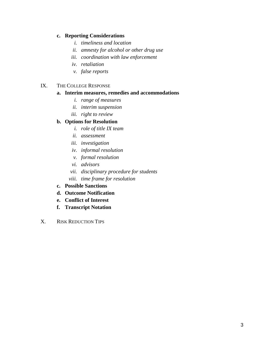#### **c. Reporting Considerations**

- *i. timeliness and location*
- *ii. amnesty for alcohol or other drug use*
- *iii. coordination with law enforcement*
- *iv. retaliation*
- *v. false reports*

#### IX. THE COLLEGE RESPONSE

#### **a. Interim measures, remedies and accommodations**

- *i. range of measures*
- *ii. interim suspension*
- *iii. right to review*

#### **b. Options for Resolution**

- *i. role of title IX team*
- *ii. assessment*
- *iii. investigation*
- *iv. informal resolution*
- *v. formal resolution*
- *vi. advisors*
- *vii. disciplinary procedure for students*
- *viii. time frame for resolution*
- **c. Possible Sanctions**
- **d. Outcome Notification**
- **e. Conflict of Interest**
- **f. Transcript Notation**
- X. RISK REDUCTION TIPS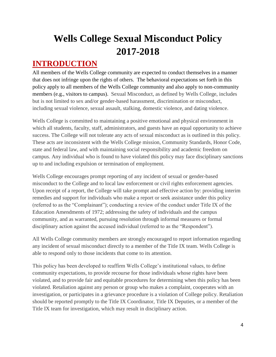# **Wells College Sexual Misconduct Policy 2017-2018**

### **INTRODUCTION**

All members of the Wells College community are expected to conduct themselves in a manner that does not infringe upon the rights of others. The behavioral expectations set forth in this policy apply to all members of the Wells College community and also apply to non-community members (e.g., visitors to campus). Sexual Misconduct, as defined by Wells College, includes but is not limited to sex and/or gender-based harassment, discrimination or misconduct, including sexual violence, sexual assault, stalking, domestic violence, and dating violence.

Wells College is committed to maintaining a positive emotional and physical environment in which all students, faculty, staff, administrators, and guests have an equal opportunity to achieve success. The College will not tolerate any acts of sexual misconduct as is outlined in this policy. These acts are inconsistent with the Wells College mission, Community Standards, Honor Code, state and federal law, and with maintaining social responsibility and academic freedom on campus. Any individual who is found to have violated this policy may face disciplinary sanctions up to and including expulsion or termination of employment.

Wells College encourages prompt reporting of any incident of sexual or gender-based misconduct to the College and to local law enforcement or civil rights enforcement agencies. Upon receipt of a report, the College will take prompt and effective action by: providing interim remedies and support for individuals who make a report or seek assistance under this policy (referred to as the "Complainant"); conducting a review of the conduct under Title IX of the Education Amendments of 1972; addressing the safety of individuals and the campus community, and as warranted, pursuing resolution through informal measures or formal disciplinary action against the accused individual (referred to as the "Respondent").

All Wells College community members are strongly encouraged to report information regarding any incident of sexual misconduct directly to a member of the Title IX team. Wells College is able to respond only to those incidents that come to its attention.

This policy has been developed to reaffirm Wells College's institutional values, to define community expectations, to provide recourse for those individuals whose rights have been violated, and to provide fair and equitable procedures for determining when this policy has been violated. Retaliation against any person or group who makes a complaint, cooperates with an investigation, or participates in a grievance procedure is a violation of College policy. Retaliation should be reported promptly to the Title IX Coordinator, Title IX Deputies, or a member of the Title IX team for investigation, which may result in disciplinary action.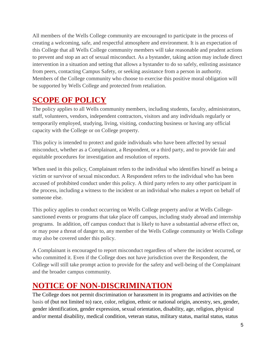All members of the Wells College community are encouraged to participate in the process of creating a welcoming, safe, and respectful atmosphere and environment. It is an expectation of this College that all Wells College community members will take reasonable and prudent actions to prevent and stop an act of sexual misconduct. As a bystander, taking action may include direct intervention in a situation and setting that allows a bystander to do so safely, enlisting assistance from peers, contacting Campus Safety, or seeking assistance from a person in authority. Members of the College community who choose to exercise this positive moral obligation will be supported by Wells College and protected from retaliation.

### **SCOPE OF POLICY**

The policy applies to all Wells community members, including students, faculty, administrators, staff, volunteers, vendors, independent contractors, visitors and any individuals regularly or temporarily employed, studying, living, visiting, conducting business or having any official capacity with the College or on College property.

This policy is intended to protect and guide individuals who have been affected by sexual misconduct, whether as a Complainant, a Respondent, or a third party, and to provide fair and equitable procedures for investigation and resolution of reports.

When used in this policy, Complainant refers to the individual who identifies hirself as being a victim or survivor of sexual misconduct. A Respondent refers to the individual who has been accused of prohibited conduct under this policy. A third party refers to any other participant in the process, including a witness to the incident or an individual who makes a report on behalf of someone else.

This policy applies to conduct occurring on Wells College property and/or at Wells Collegesanctioned events or programs that take place off campus, including study abroad and internship programs. In addition, off campus conduct that is likely to have a substantial adverse effect on, or may pose a threat of danger to, any member of the Wells College community or Wells College may also be covered under this policy.

A Complainant is encouraged to report misconduct regardless of where the incident occurred, or who committed it. Even if the College does not have jurisdiction over the Respondent, the College will still take prompt action to provide for the safety and well-being of the Complainant and the broader campus community.

### **NOTICE OF NON-DISCRIMINATION**

The College does not permit discrimination or harassment in its programs and activities on the basis of (but not limited to) race, color, religion, ethnic or national origin, ancestry, sex, gender, gender identification, gender expression, sexual orientation, disability, age, religion, physical and/or mental disability, medical condition, veteran status, military status, marital status, status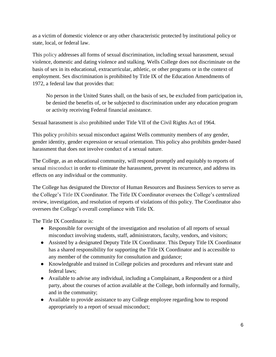as a victim of domestic violence or any other characteristic protected by institutional policy or state, local, or federal law.

This policy addresses all forms of sexual discrimination, including sexual harassment, sexual violence, domestic and dating violence and stalking. Wells College does not discriminate on the basis of sex in its educational, extracurricular, athletic, or other programs or in the context of employment. Sex discrimination is prohibited by Title IX of the Education Amendments of 1972, a federal law that provides that:

No person in the United States shall, on the basis of sex, be excluded from participation in, be denied the benefits of, or be subjected to discrimination under any education program or activity receiving Federal financial assistance.

Sexual harassment is also prohibited under Title VII of the Civil Rights Act of 1964.

This policy prohibits sexual misconduct against Wells community members of any gender, gender identity, gender expression or sexual orientation. This policy also prohibits gender-based harassment that does not involve conduct of a sexual nature.

The College, as an educational community, will respond promptly and equitably to reports of sexual misconduct in order to eliminate the harassment, prevent its recurrence, and address its effects on any individual or the community.

The College has designated the Director of Human Resources and Business Services to serve as the College's Title IX Coordinator. The Title IX Coordinator oversees the College's centralized review, investigation, and resolution of reports of violations of this policy. The Coordinator also oversees the College's overall compliance with Title IX.

The Title IX Coordinator is:

- Responsible for oversight of the investigation and resolution of all reports of sexual misconduct involving students, staff, administrators, faculty, vendors, and visitors;
- Assisted by a designated Deputy Title IX Coordinator. This Deputy Title IX Coordinator has a shared responsibility for supporting the Title IX Coordinator and is accessible to any member of the community for consultation and guidance;
- Knowledgeable and trained in College policies and procedures and relevant state and federal laws;
- Available to advise any individual, including a Complainant, a Respondent or a third party, about the courses of action available at the College, both informally and formally, and in the community;
- Available to provide assistance to any College employee regarding how to respond appropriately to a report of sexual misconduct;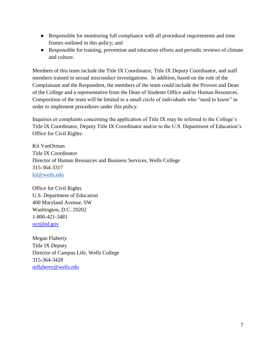- Responsible for monitoring full compliance with all procedural requirements and time frames outlined in this policy; and
- Responsible for training, prevention and education efforts and periodic reviews of climate and culture.

Members of this team include the Title IX Coordinator, Title IX Deputy Coordinator, and staff members trained in sexual misconduct investigations. In addition, based on the role of the Complainant and the Respondent, the members of the team could include the Provost and Dean of the College and a representative from the Dean of Students Office and/or Human Resources. Composition of the team will be limited to a small circle of individuals who "need to know" in order to implement procedures under this policy.

Inquiries or complaints concerning the application of Title IX may be referred to the College's Title IX Coordinator, Deputy Title IX Coordinator and/or to the U.S. Department of Education's Office for Civil Rights:

Kit VanOrman Title IX Coordinator Director of Human Resources and Business Services, Wells College 315-364-3317 kit@wells.edu

Office for Civil Rights U.S. Department of Education 400 Maryland Avenue, SW Washington, D.C. 20202 1-800-421-3481 [ocr@ed.gov](mailto:ocr@ed.gov)

Megan Flaherty Title IX Deputy Director of Campus Life, Wells College 315-364-3428 [mflaherty@wells.edu](mailto:mflaherty@wells.edu)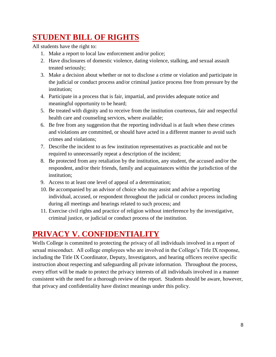## **STUDENT BILL OF RIGHTS**

All students have the right to:

- 1. Make a report to local law enforcement and/or police;
- 2. Have disclosures of domestic violence, dating violence, stalking, and sexual assault treated seriously;
- 3. Make a decision about whether or not to disclose a crime or violation and participate in the judicial or conduct process and/or criminal justice process free from pressure by the institution;
- 4. Participate in a process that is fair, impartial, and provides adequate notice and meaningful opportunity to be heard;
- 5. Be treated with dignity and to receive from the institution courteous, fair and respectful health care and counseling services, where available;
- 6. Be free from any suggestion that the reporting individual is at fault when these crimes and violations are committed, or should have acted in a different manner to avoid such crimes and violations;
- 7. Describe the incident to as few institution representatives as practicable and not be required to unnecessarily repeat a description of the incident;
- 8. Be protected from any retaliation by the institution, any student, the accused and/or the respondent, and/or their friends, family and acquaintances within the jurisdiction of the institution;
- 9. Access to at least one level of appeal of a determination;
- 10. Be accompanied by an advisor of choice who may assist and advise a reporting individual, accused, or respondent throughout the judicial or conduct process including during all meetings and hearings related to such process; and
- 11. Exercise civil rights and practice of religion without interference by the investigative, criminal justice, or judicial or conduct process of the institution.

## **PRIVACY V. CONFIDENTIALITY**

Wells College is committed to protecting the privacy of all individuals involved in a report of sexual misconduct. All college employees who are involved in the College's Title IX response, including the Title IX Coordinator, Deputy, Investigators, and hearing officers receive specific instruction about respecting and safeguarding all private information. Throughout the process, every effort will be made to protect the privacy interests of all individuals involved in a manner consistent with the need for a thorough review of the report. Students should be aware, however, that privacy and confidentiality have distinct meanings under this policy.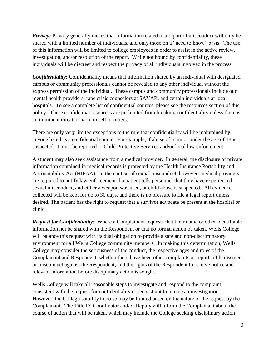*Privacy:* Privacy generally means that information related to a report of misconduct will only be shared with a limited number of individuals, and only those on a "need to know" basis. The use of this information will be limited to college employees in order to assist in the active review, investigation, and/or resolution of the report. While not bound by confidentiality, these individuals will be discreet and respect the privacy of all individuals involved in the process.

*Confidentiality:* Confidentiality means that information shared by an individual with designated campus or community professionals cannot be revealed to any other individual without the express permission of the individual. These campus and community professionals include our mental health providers, rape crisis counselors at SAVAR, and certain individuals at local hospitals. To see a complete list of confidential sources, please see the resources section of this policy. These confidential resources are prohibited from breaking confidentiality unless there is an imminent threat of harm to self or others.

There are only very limited exceptions to the rule that confidentiality will be maintained by anyone listed as a confidential source. For example, if abuse of a minor under the age of 18 is suspected, it must be reported to Child Protective Services and/or local law enforcement.

A student may also seek assistance from a medical provider. In general, the disclosure of private information contained in medical records is protected by the Health Insurance Portability and Accountability Act (HIPAA). In the context of sexual misconduct, however, medical providers are required to notify law enforcement if a patient tells personnel that they have experienced sexual misconduct, and either a weapon was used, or child abuse is suspected. All evidence collected will be kept for up to 30 days, and there is no pressure to file a legal report unless desired. The patient has the right to request that a survivor advocate be present at the hospital or clinic.

*Request for Confidentiality:* Where a Complainant requests that their name or other identifiable information not be shared with the Respondent or that no formal action be taken, Wells College will balance this request with its dual obligation to provide a safe and non-discriminatory environment for all Wells College community members. In making this determination, Wells College may consider the seriousness of the conduct, the respective ages and roles of the Complainant and Respondent, whether there have been other complaints or reports of harassment or misconduct against the Respondent, and the rights of the Respondent to receive notice and relevant information before disciplinary action is sought.

Wells College will take all reasonable steps to investigate and respond to the complaint consistent with the request for confidentiality or request not to pursue an investigation. However, the College's ability to do so may be limited based on the nature of the request by the Complainant. The Title IX Coordinator and/or Deputy will inform the Complainant about the course of action that will be taken, which may include the College seeking disciplinary action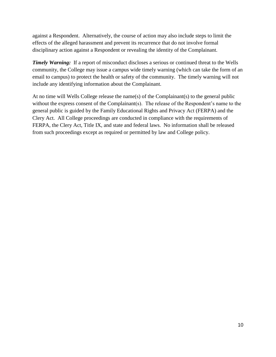against a Respondent. Alternatively, the course of action may also include steps to limit the effects of the alleged harassment and prevent its recurrence that do not involve formal disciplinary action against a Respondent or revealing the identity of the Complainant.

*Timely Warning:* If a report of misconduct discloses a serious or continued threat to the Wells community, the College may issue a campus wide timely warning (which can take the form of an email to campus) to protect the health or safety of the community. The timely warning will not include any identifying information about the Complainant.

At no time will Wells College release the name(s) of the Complainant(s) to the general public without the express consent of the Complainant(s). The release of the Respondent's name to the general public is guided by the Family Educational Rights and Privacy Act (FERPA) and the Clery Act. All College proceedings are conducted in compliance with the requirements of FERPA, the Clery Act, Title IX, and state and federal laws. No information shall be released from such proceedings except as required or permitted by law and College policy.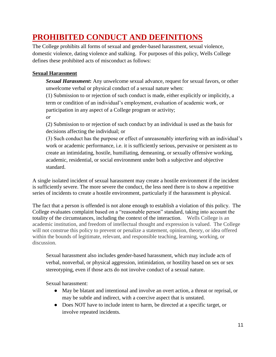## **PROHIBITED CONDUCT AND DEFINITIONS**

The College prohibits all forms of sexual and gender-based harassment, sexual violence, domestic violence, dating violence and stalking. For purposes of this policy, Wells College defines these prohibited acts of misconduct as follows:

### **Sexual Harassment**

*Sexual Harassment***:** Any unwelcome sexual advance, request for sexual favors, or other unwelcome verbal or physical conduct of a sexual nature when:

(1) Submission to or rejection of such conduct is made, either explicitly or implicitly, a term or condition of an individual's employment, evaluation of academic work, or participation in any aspect of a College program or activity;

*or*

(2) Submission to or rejection of such conduct by an individual is used as the basis for decisions affecting the individual; or

(3) Such conduct has the purpose or effect of unreasonably interfering with an individual's work or academic performance, i.e. it is sufficiently serious, pervasive or persistent as to create an intimidating, hostile, humiliating, demeaning, or sexually offensive working, academic, residential, or social environment under both a subjective and objective standard.

A single isolated incident of sexual harassment may create a hostile environment if the incident is sufficiently severe. The more severe the conduct, the less need there is to show a repetitive series of incidents to create a hostile environment, particularly if the harassment is physical.

The fact that a person is offended is not alone enough to establish a violation of this policy. The College evaluates complaint based on a "reasonable person" standard, taking into account the totality of the circumstances, including the context of the interaction. Wells College is an academic institution, and freedom of intellectual thought and expression is valued. The College will not construe this policy to prevent or penalize a statement, opinion, theory, or idea offered within the bounds of legitimate, relevant, and responsible teaching, learning, working, or discussion.

Sexual harassment also includes gender-based harassment, which may include acts of verbal, nonverbal, or physical aggression, intimidation, or hostility based on sex or sex stereotyping, even if those acts do not involve conduct of a sexual nature.

Sexual harassment:

- May be blatant and intentional and involve an overt action, a threat or reprisal, or may be subtle and indirect, with a coercive aspect that is unstated.
- Does NOT have to include intent to harm, be directed at a specific target, or involve repeated incidents.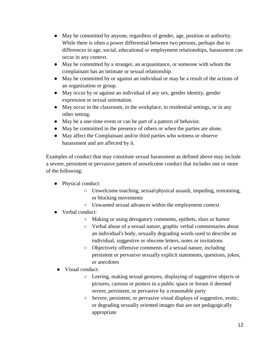- May be committed by anyone, regardless of gender, age, position or authority. While there is often a power differential between two persons, perhaps due to differences in age, social, educational or employment relationships, harassment can occur in any context.
- May be committed by a stranger, an acquaintance, or someone with whom the complainant has an intimate or sexual relationship.
- May be committed by or against an individual or may be a result of the actions of an organization or group.
- May occur by or against an individual of any sex, gender identity, gender expression or sexual orientation.
- May occur in the classroom, in the workplace, in residential settings, or in any other setting.
- May be a one-time event or can be part of a pattern of behavior.
- May be committed in the presence of others or when the parties are alone.
- May affect the Complainant and/or third parties who witness or observe harassment and are affected by it.

Examples of conduct that may constitute sexual harassment as defined above may include a severe, persistent or pervasive pattern of unwelcome conduct that includes one or more of the following:

- Physical conduct:
	- Unwelcome touching, sexual/physical assault, impeding, restraining, or blocking movements
	- Unwanted sexual advances within the employment context
- Verbal conduct:
	- Making or using derogatory comments, epithets, slurs or humor
	- Verbal abuse of a sexual nature, graphic verbal commentaries about an individual's body, sexually degrading words used to describe an individual, suggestive or obscene letters, notes or invitations
	- Objectively offensive comments of a sexual nature, including persistent or pervasive sexually explicit statements, questions, jokes, or anecdotes
	- Visual conduct:
		- Leering, making sexual gestures, displaying of suggestive objects or pictures, cartoon or posters in a public space or forum if deemed severe, persistent, or pervasive by a reasonable party
		- Severe, persistent, or pervasive visual displays of suggestive, erotic, or degrading sexually oriented images that are not pedagogically appropriate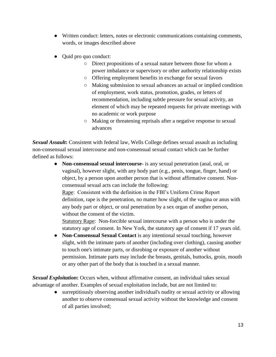- Written conduct: letters, notes or electronic communications containing comments, words, or images described above
- Quid pro quo conduct:
	- Direct propositions of a sexual nature between those for whom a power imbalance or supervisory or other authority relationship exists
	- Offering employment benefits in exchange for sexual favors
	- Making submission to sexual advances an actual or implied condition of employment, work status, promotion, grades, or letters of recommendation, including subtle pressure for sexual activity, an element of which may be repeated requests for private meetings with no academic or work purpose
	- Making or threatening reprisals after a negative response to sexual advances

*Sexual Assault***:** Consistent with federal law, Wells College defines sexual assault as including non-consensual sexual intercourse and non-consensual sexual contact which can be further defined as follows:

> ● **Non-consensual sexual intercourse-** is any sexual penetration (anal, oral, or vaginal), however slight, with any body part (e.g., penis, tongue, finger, hand) or object, by a person upon another person that is without affirmative consent. Nonconsensual sexual acts can include the following:

Rape: Consistent with the definition in the FBI's Uniform Crime Report definition, rape is the penetration, no matter how slight, of the vagina or anus with any body part or object, or oral penetration by a sex organ of another person, without the consent of the victim.

Statutory Rape: Non-forcible sexual intercourse with a person who is under the statutory age of consent. In New York, the statutory age of consent if 17 years old.

● **Non-Consensual Sexual Contact** is any intentional sexual touching, however slight, with the intimate parts of another (including over clothing), causing another to touch one's intimate parts, or disrobing or exposure of another without permission. Intimate parts may include the breasts, genitals, buttocks, groin, mouth or any other part of the body that is touched in a sexual manner.

**Sexual Exploitation:** Occurs when, without affirmative consent, an individual takes sexual advantage of another. Examples of sexual exploitation include, but are not limited to:

> ● surreptitiously observing another individual's nudity or sexual activity or allowing another to observe consensual sexual activity without the knowledge and consent of all parties involved;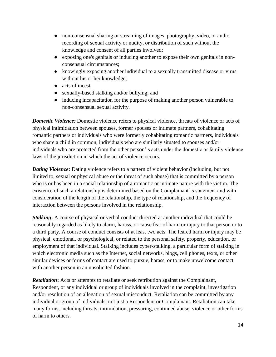- non-consensual sharing or streaming of images, photography, video, or audio recording of sexual activity or nudity, or distribution of such without the knowledge and consent of all parties involved;
- exposing one's genitals or inducing another to expose their own genitals in nonconsensual circumstances;
- knowingly exposing another individual to a sexually transmitted disease or virus without his or her knowledge;
- acts of incest;
- sexually-based stalking and/or bullying; and
- inducing incapacitation for the purpose of making another person vulnerable to non-consensual sexual activity.

*Domestic Violence:* Domestic violence refers to physical violence, threats of violence or acts of physical intimidation between spouses, former spouses or intimate partners, cohabitating romantic partners or individuals who were formerly cohabitating romantic partners, individuals who share a child in common, individuals who are similarly situated to spouses and/or individuals who are protected from the other person' s acts under the domestic or family violence laws of the jurisdiction in which the act of violence occurs.

*Dating Violence:* Dating violence refers to a pattern of violent behavior (including, but not limited to, sexual or physical abuse or the threat of such abuse) that is committed by a person who is or has been in a social relationship of a romantic or intimate nature with the victim. The existence of such a relationship is determined based on the Complainant' s statement and with consideration of the length of the relationship, the type of relationship, and the frequency of interaction between the persons involved in the relationship.

*Stalking***:** A course of physical or verbal conduct directed at another individual that could be reasonably regarded as likely to alarm, harass, or cause fear of harm or injury to that person or to a third party. A course of conduct consists of at least two acts. The feared harm or injury may be physical, emotional, or psychological, or related to the personal safety, property, education, or employment of that individual. Stalking includes cyber-stalking, a particular form of stalking in which electronic media such as the Internet, social networks, blogs, cell phones, texts, or other similar devices or forms of contact are used to pursue, harass, or to make unwelcome contact with another person in an unsolicited fashion.

*Retaliation***:** Acts or attempts to retaliate or seek retribution against the Complainant, Respondent, or any individual or group of individuals involved in the complaint, investigation and/or resolution of an allegation of sexual misconduct. Retaliation can be committed by any individual or group of individuals, not just a Respondent or Complainant. Retaliation can take many forms, including threats, intimidation, pressuring, continued abuse, violence or other forms of harm to others.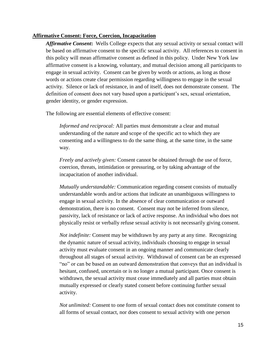#### **Affirmative Consent: Force, Coercion, Incapacitation**

*Affirmative Consent***:** Wells College expects that any sexual activity or sexual contact will be based on affirmative consent to the specific sexual activity. All references to consent in this policy will mean affirmative consent as defined in this policy. Under New York law affirmative consent is a knowing, voluntary, and mutual decision among all participants to engage in sexual activity. Consent can be given by words or actions, as long as those words or actions create clear permission regarding willingness to engage in the sexual activity. Silence or lack of resistance, in and of itself, does not demonstrate consent. The definition of consent does not vary based upon a participant's sex, sexual orientation, gender identity, or gender expression.

The following are essential elements of effective consent:

*Informed and reciprocal:* All parties must demonstrate a clear and mutual understanding of the nature and scope of the specific act to which they are consenting and a willingness to do the same thing, at the same time, in the same way.

*Freely and actively given:* Consent cannot be obtained through the use of force, coercion, threats, intimidation or pressuring, or by taking advantage of the incapacitation of another individual.

*Mutually understandable:* Communication regarding consent consists of mutually understandable words and/or actions that indicate an unambiguous willingness to engage in sexual activity. In the absence of clear communication or outward demonstration, there is no consent. Consent may not be inferred from silence, passivity, lack of resistance or lack of active response. An individual who does not physically resist or verbally refuse sexual activity is not necessarily giving consent.

*Not indefinite:* Consent may be withdrawn by any party at any time. Recognizing the dynamic nature of sexual activity, individuals choosing to engage in sexual activity must evaluate consent in an ongoing manner and communicate clearly throughout all stages of sexual activity. Withdrawal of consent can be an expressed "no" or can be based on an outward demonstration that conveys that an individual is hesitant, confused, uncertain or is no longer a mutual participant. Once consent is withdrawn, the sexual activity must cease immediately and all parties must obtain mutually expressed or clearly stated consent before continuing further sexual activity.

*Not unlimited:* Consent to one form of sexual contact does not constitute consent to all forms of sexual contact, nor does consent to sexual activity with one person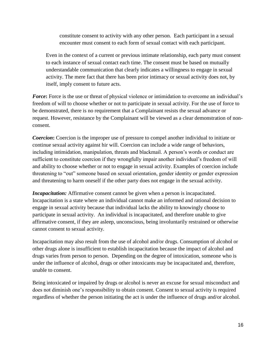constitute consent to activity with any other person. Each participant in a sexual encounter must consent to each form of sexual contact with each participant.

Even in the context of a current or previous intimate relationship, each party must consent to each instance of sexual contact each time. The consent must be based on mutually understandable communication that clearly indicates a willingness to engage in sexual activity. The mere fact that there has been prior intimacy or sexual activity does not, by itself, imply consent to future acts.

*Force***:** Force is the use or threat of physical violence or intimidation to overcome an individual's freedom of will to choose whether or not to participate in sexual activity. For the use of force to be demonstrated, there is no requirement that a Complainant resists the sexual advance or request. However, resistance by the Complainant will be viewed as a clear demonstration of nonconsent.

*Coercion***:** Coercion is the improper use of pressure to compel another individual to initiate or continue sexual activity against hir will. Coercion can include a wide range of behaviors, including intimidation, manipulation, threats and blackmail. A person's words or conduct are sufficient to constitute coercion if they wrongfully impair another individual's freedom of will and ability to choose whether or not to engage in sexual activity. Examples of coercion include threatening to "out" someone based on sexual orientation, gender identity or gender expression and threatening to harm oneself if the other party does not engage in the sexual activity.

*Incapacitation:* Affirmative consent cannot be given when a person is incapacitated. Incapacitation is a state where an individual cannot make an informed and rational decision to engage in sexual activity because that individual lacks the ability to knowingly choose to participate in sexual activity. An individual is incapacitated, and therefore unable to give affirmative consent, if they are asleep, unconscious, being involuntarily restrained or otherwise cannot consent to sexual activity.

Incapacitation may also result from the use of alcohol and/or drugs. Consumption of alcohol or other drugs alone is insufficient to establish incapacitation because the impact of alcohol and drugs varies from person to person. Depending on the degree of intoxication, someone who is under the influence of alcohol, drugs or other intoxicants may be incapacitated and, therefore, unable to consent.

Being intoxicated or impaired by drugs or alcohol is never an excuse for sexual misconduct and does not diminish one's responsibility to obtain consent. Consent to sexual activity is required regardless of whether the person initiating the act is under the influence of drugs and/or alcohol.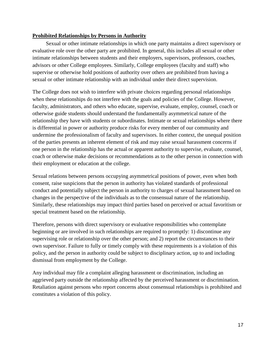#### **Prohibited Relationships by Persons in Authority**

Sexual or other intimate relationships in which one party maintains a direct supervisory or evaluative role over the other party are prohibited. In general, this includes all sexual or other intimate relationships between students and their employers, supervisors, professors, coaches, advisors or other College employees. Similarly, College employees (faculty and staff) who supervise or otherwise hold positions of authority over others are prohibited from having a sexual or other intimate relationship with an individual under their direct supervision.

The College does not wish to interfere with private choices regarding personal relationships when these relationships do not interfere with the goals and policies of the College. However, faculty, administrators, and others who educate, supervise, evaluate, employ, counsel, coach or otherwise guide students should understand the fundamentally asymmetrical nature of the relationship they have with students or subordinates. Intimate or sexual relationships where there is differential in power or authority produce risks for every member of our community and undermine the professionalism of faculty and supervisors. In either context, the unequal position of the parties presents an inherent element of risk and may raise sexual harassment concerns if one person in the relationship has the actual or apparent authority to supervise, evaluate, counsel, coach or otherwise make decisions or recommendations as to the other person in connection with their employment or education at the college.

Sexual relations between persons occupying asymmetrical positions of power, even when both consent, raise suspicions that the person in authority has violated standards of professional conduct and potentially subject the person in authority to charges of sexual harassment based on changes in the perspective of the individuals as to the consensual nature of the relationship. Similarly, these relationships may impact third parties based on perceived or actual favoritism or special treatment based on the relationship.

Therefore, persons with direct supervisory or evaluative responsibilities who contemplate beginning or are involved in such relationships are required to promptly: 1) discontinue any supervising role or relationship over the other person; and 2) report the circumstances to their own supervisor. Failure to fully or timely comply with these requirements is a violation of this policy, and the person in authority could be subject to disciplinary action, up to and including dismissal from employment by the College.

Any individual may file a complaint alleging harassment or discrimination, including an aggrieved party outside the relationship affected by the perceived harassment or discrimination. Retaliation against persons who report concerns about consensual relationships is prohibited and constitutes a violation of this policy.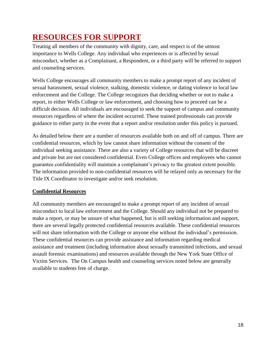## **RESOURCES FOR SUPPORT**

Treating all members of the community with dignity, care, and respect is of the utmost importance to Wells College. Any individual who experiences or is affected by sexual misconduct, whether as a Complainant, a Respondent, or a third party will be referred to support and counseling services.

Wells College encourages all community members to make a prompt report of any incident of sexual harassment, sexual violence, stalking, domestic violence, or dating violence to local law enforcement and the College. The College recognizes that deciding whether or not to make a report, to either Wells College or law enforcement, and choosing how to proceed can be a difficult decision. All individuals are encouraged to seek the support of campus and community resources regardless of where the incident occurred. These trained professionals can provide guidance to either party in the event that a report and/or resolution under this policy is pursued.

As detailed below there are a number of resources available both on and off of campus. There are confidential resources, which by law cannot share information without the consent of the individual seeking assistance. There are also a variety of College resources that will be discreet and private but are not considered confidential. Even College offices and employees who cannot guarantee confidentiality will maintain a complainant's privacy to the greatest extent possible. The information provided to non-confidential resources will be relayed only as necessary for the Title IX Coordinator to investigate and/or seek resolution.

### **Confidential Resources**

All community members are encouraged to make a prompt report of any incident of sexual misconduct to local law enforcement and the College. Should any individual not be prepared to make a report, or may be unsure of what happened, but is still seeking information and support, there are several legally protected confidential resources available. These confidential resources will not share information with the College or anyone else without the individual's permission. These confidential resources can provide assistance and information regarding medical assistance and treatment (including information about sexually transmitted infections, and sexual assault forensic examinations) and resources available through the New York State Office of Victim Services. The On Campus health and counseling services noted below are generally available to students free of charge.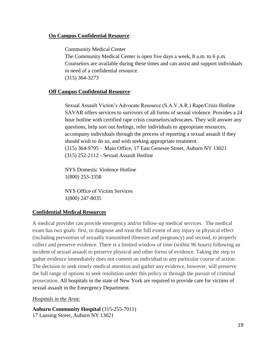#### **On Campus Confidential Resource**:

Community Medical Center

The Community Medical Center is open five days a week, 8 a.m. to 6 p.m. Counselors are available during these times and can assist and support individuals in need of a confidential resource. (315) 364-3273

#### **Off Campus Confidential Resource**:

Sexual Assault Victim's Advocate Resource (S.A.V.A.R.) Rape/Crisis Hotline SAVAR offers services to survivors of all forms of sexual violence. Provides a 24 hour hotline with certified rape crisis counselors/advocates. They will answer any questions, help sort out feelings, refer individuals to appropriate resources, accompany individuals through the process of reporting a sexual assault if they should wish to do so, and with seeking appropriate treatment. (315) 364-9795 - Main Office, 17 East Genesee Street, Auburn NY 13021 (315) 252-2112 - Sexual Assault Hotline

NYS Domestic Violence Hotline 1(800) 253-3358

NYS Office of Victim Services 1(800) 247-8035

#### **Confidential Medical Resources**

A medical provider can provide emergency and/or follow-up medical services. The medical exam has two goals: first, to diagnose and treat the full extent of any injury or physical effect (including prevention of sexually transmitted illnesses and pregnancy) and second, to properly collect and preserve evidence. There is a limited window of time (within 96 hours) following an incident of sexual assault to preserve physical and other forms of evidence. Taking the step to gather evidence immediately does not commit an individual to any particular course of action. The decision to seek timely medical attention and gather any evidence, however, will preserve the full range of options to seek resolution under this policy or through the pursuit of criminal prosecution. All hospitals in the state of New York are required to provide care for victims of sexual assault in the Emergency Department.

#### *Hospitals in the Area:*

**Auburn Community Hospital** (315-255-7011) 17 Lansing Street, Auburn NY 13021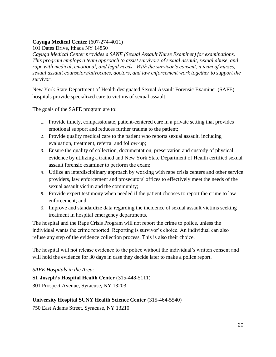#### **Cayuga Medical Center** (607-274-4011)

101 Dates Drive, Ithaca NY 14850

*Cayuga Medical Center provides a SANE (Sexual Assault Nurse Examiner) for examinations. This program employs a team approach to assist survivors of sexual assault, sexual abuse, and rape with medical, emotional, and legal needs. With the survivor's consent, a team of nurses, sexual assault counselors/advocates, doctors, and law enforcement work together to support the survivor.*

New York State Department of Health designated Sexual Assault Forensic Examiner (SAFE) hospitals provide specialized care to victims of sexual assault.

The goals of the SAFE program are to:

- 1. Provide timely, compassionate, patient-centered care in a private setting that provides emotional support and reduces further trauma to the patient;
- 2. Provide quality medical care to the patient who reports sexual assault, including evaluation, treatment, referral and follow-up;
- 3. Ensure the quality of collection, documentation, preservation and custody of physical evidence by utilizing a trained and New York State Department of Health certified sexual assault forensic examiner to perform the exam;
- 4. Utilize an interdisciplinary approach by working with rape crisis centers and other service providers, law enforcement and prosecutors' offices to effectively meet the needs of the sexual assault victim and the community;
- 5. Provide expert testimony when needed if the patient chooses to report the crime to law enforcement; and,
- 6. Improve and standardize data regarding the incidence of sexual assault victims seeking treatment in hospital emergency departments.

The hospital and the Rape Crisis Program will not report the crime to police, unless the individual wants the crime reported. Reporting is survivor's choice. An individual can also refuse any step of the evidence collection process. This is also their choice.

The hospital will not release evidence to the police without the individual's written consent and will hold the evidence for 30 days in case they decide later to make a police report.

#### *SAFE Hospitals in the Area:*

**St. Joseph's Hospital Health Center** (315-448-5111) 301 Prospect Avenue, Syracuse, NY 13203

### **University Hospital SUNY Health Science Center** (315-464-5540)

750 East Adams Street, Syracuse, NY 13210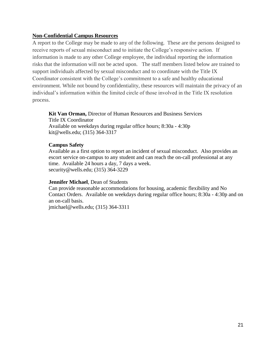#### **Non-Confidential Campus Resources**

A report to the College may be made to any of the following. These are the persons designed to receive reports of sexual misconduct and to initiate the College's responsive action. If information is made to any other College employee, the individual reporting the information risks that the information will not be acted upon. The staff members listed below are trained to support individuals affected by sexual misconduct and to coordinate with the Title IX Coordinator consistent with the College's commitment to a safe and healthy educational environment. While not bound by confidentiality, these resources will maintain the privacy of an individual's information within the limited circle of those involved in the Title IX resolution process.

**Kit Van Orman,** Director of Human Resources and Business Services Title IX Coordinator Available on weekdays during regular office hours; 8:30a - 4:30p

### **Campus Safety**

kit@wells.edu; (315) 364-3317

Available as a first option to report an incident of sexual misconduct. Also provides an escort service on-campus to any student and can reach the on-call professional at any time. Available 24 hours a day, 7 days a week. security@wells.edu; (315) 364-3229

#### **Jennifer Michael**, Dean of Students

Can provide reasonable accommodations for housing, academic flexibility and No Contact Orders. Available on weekdays during regular office hours; 8:30a - 4:30p and on an on-call basis.

jmichael@wells.edu; (315) 364-3311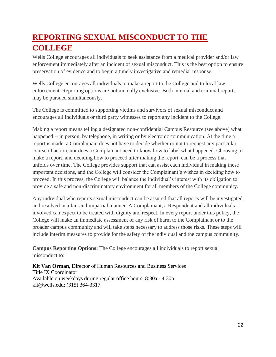# **REPORTING SEXUAL MISCONDUCT TO THE COLLEGE**

Wells College encourages all individuals to seek assistance from a medical provider and/or law enforcement immediately after an incident of sexual misconduct. This is the best option to ensure preservation of evidence and to begin a timely investigative and remedial response.

Wells College encourages all individuals to make a report to the College and to local law enforcement. Reporting options are not mutually exclusive. Both internal and criminal reports may be pursued simultaneously.

The College is committed to supporting victims and survivors of sexual misconduct and encourages all individuals or third party witnesses to report any incident to the College.

Making a report means telling a designated non-confidential Campus Resource (see above) what happened -- in person, by telephone, in writing or by electronic communication. At the time a report is made, a Complainant does not have to decide whether or not to request any particular course of action, nor does a Complainant need to know how to label what happened. Choosing to make a report, and deciding how to proceed after making the report, can be a process that unfolds over time. The College provides support that can assist each individual in making these important decisions, and the College will consider the Complainant's wishes in deciding how to proceed. In this process, the College will balance the individual's interest with its obligation to provide a safe and non-discriminatory environment for all members of the College community.

Any individual who reports sexual misconduct can be assured that all reports will be investigated and resolved in a fair and impartial manner. A Complainant, a Respondent and all individuals involved can expect to be treated with dignity and respect. In every report under this policy, the College will make an immediate assessment of any risk of harm to the Complainant or to the broader campus community and will take steps necessary to address those risks. These steps will include interim measures to provide for the safety of the individual and the campus community.

**Campus Reporting Options:** The College encourages all individuals to report sexual misconduct to:

**Kit Van Orman,** Director of Human Resources and Business Services Title IX Coordinator Available on weekdays during regular office hours; 8:30a - 4:30p kit@wells.edu; (315) 364-3317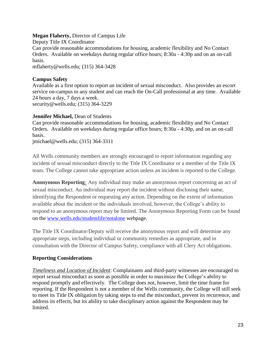#### **Megan Flaherty,** Director of Campus Life

Deputy Title IX Coordinator Can provide reasonable accommodations for housing, academic flexibility and No Contact Orders. Available on weekdays during regular office hours; 8:30a - 4:30p and on an on-call basis.

mflaherty@wells.edu; (315) 364-3428

#### **Campus Safety**

Available as a first option to report an incident of sexual misconduct. Also provides an escort service on-campus to any student and can reach the On-Call professional at any time. Available 24 hours a day, 7 days a week. security@wells.edu; (315) 364-3229

#### **Jennifer Michael,** Dean of Students

Can provide reasonable accommodations for housing, academic flexibility and No Contact Orders. Available on weekdays during regular office hours; 8:30a - 4:30p, and on an on-call basis.

jmichael@wells.edu; (315) 364-3311

All Wells community members are strongly encouraged to report information regarding any incident of sexual misconduct directly to the Title IX Coordinator or a member of the Title IX team. The College cannot take appropriate action unless an incident is reported to the College.

**Anonymous Reporting***:* Any individual may make an anonymous report concerning an act of sexual misconduct. An individual may report the incident without disclosing their name, identifying the Respondent or requesting any action. Depending on the extent of information available about the incident or the individuals involved, however, the College's ability to respond to an anonymous report may be limited. The Anonymous Reporting Form can be found on the www.wells.edu/studentlife/notalone webpage.

The Title IX Coordinator/Deputy will receive the anonymous report and will determine any appropriate steps, including individual or community remedies as appropriate, and in consultation with the Director of Campus Safety, compliance with all Clery Act obligations.

#### **Reporting Considerations**

*Timeliness and Location of Incident*: Complainants and third-party witnesses are encouraged to report sexual misconduct as soon as possible in order to maximize the College's ability to respond promptly and effectively. The College does not, however, limit the time frame for reporting. If the Respondent is not a member of the Wells community, the College will still seek to meet its Title IX obligation by taking steps to end the misconduct, prevent its recurrence, and address its effects, but its ability to take disciplinary action against the Respondent may be limited.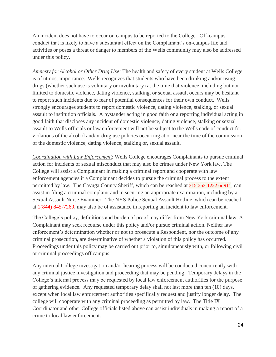An incident does not have to occur on campus to be reported to the College. Off-campus conduct that is likely to have a substantial effect on the Complainant's on-campus life and activities or poses a threat or danger to members of the Wells community may also be addressed under this policy.

*Amnesty for Alcohol or Other Drug Use:* The health and safety of every student at Wells College is of utmost importance. Wells recognizes that students who have been drinking and/or using drugs (whether such use is voluntary or involuntary) at the time that violence, including but not limited to domestic violence, dating violence, stalking, or sexual assault occurs may be hesitant to report such incidents due to fear of potential consequences for their own conduct. Wells strongly encourages students to report domestic violence, dating violence, stalking, or sexual assault to institution officials. A bystander acting in good faith or a reporting individual acting in good faith that discloses any incident of domestic violence, dating violence, stalking or sexual assault to Wells officials or law enforcement will not be subject to the Wells code of conduct for violations of the alcohol and/or drug use policies occurring at or near the time of the commission of the domestic violence, dating violence, stalking or, sexual assault.

*Coordination with Law Enforcement*: Wells College encourages Complainants to pursue criminal action for incidents of sexual misconduct that may also be crimes under New York law. The College will assist a Complainant in making a criminal report and cooperate with law enforcement agencies if a Complainant decides to pursue the criminal process to the extent permitted by law. The Cayuga County Sheriff, which can be reached at 315-253-1222 or 911, can assist in filing a criminal complaint and in securing an appropriate examination, including by a Sexual Assault Nurse Examiner. The NYS Police Sexual Assault Hotline, which can be reached at 1(844) 845-7269, may also be of assistance in reporting an incident to law enforcement.

The College's policy, definitions and burden of proof may differ from New York criminal law. A Complainant may seek recourse under this policy and/or pursue criminal action. Neither law enforcement's determination whether or not to prosecute a Respondent, nor the outcome of any criminal prosecution, are determinative of whether a violation of this policy has occurred. Proceedings under this policy may be carried out prior to, simultaneously with, or following civil or criminal proceedings off campus.

Any internal College investigation and/or hearing process will be conducted concurrently with any criminal justice investigation and proceeding that may be pending. Temporary delays in the College's internal process may be requested by local law enforcement authorities for the purpose of gathering evidence. Any requested temporary delay shall not last more than ten (10) days, except when local law enforcement authorities specifically request and justify longer delay. The college will cooperate with any criminal proceeding as permitted by law. The Title IX Coordinator and other College officials listed above can assist individuals in making a report of a crime to local law enforcement.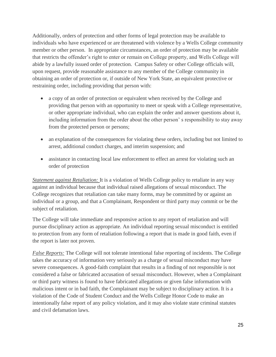Additionally, orders of protection and other forms of legal protection may be available to individuals who have experienced or are threatened with violence by a Wells College community member or other person. In appropriate circumstances, an order of protection may be available that restricts the offender's right to enter or remain on College property, and Wells College will abide by a lawfully issued order of protection. Campus Safety or other College officials will, upon request, provide reasonable assistance to any member of the College community in obtaining an order of protection or, if outside of New York State, an equivalent protective or restraining order, including providing that person with:

- a copy of an order of protection or equivalent when received by the College and providing that person with an opportunity to meet or speak with a College representative, or other appropriate individual, who can explain the order and answer questions about it, including information from the order about the other person' s responsibility to stay away from the protected person or persons;
- an explanation of the consequences for violating these orders, including but not limited to arrest, additional conduct charges, and interim suspension; and
- assistance in contacting local law enforcement to effect an arrest for violating such an order of protection

*Statement against Retaliation:* It is a violation of Wells College policy to retaliate in any way against an individual because that individual raised allegations of sexual misconduct. The College recognizes that retaliation can take many forms, may be committed by or against an individual or a group, and that a Complainant, Respondent or third party may commit or be the subject of retaliation.

The College will take immediate and responsive action to any report of retaliation and will pursue disciplinary action as appropriate. An individual reporting sexual misconduct is entitled to protection from any form of retaliation following a report that is made in good faith, even if the report is later not proven.

*False Reports:* The College will not tolerate intentional false reporting of incidents. The College takes the accuracy of information very seriously as a charge of sexual misconduct may have severe consequences. A good-faith complaint that results in a finding of not responsible is not considered a false or fabricated accusation of sexual misconduct. However, when a Complainant or third party witness is found to have fabricated allegations or given false information with malicious intent or in bad faith, the Complainant may be subject to disciplinary action. It is a violation of the Code of Student Conduct and the Wells College Honor Code to make an intentionally false report of any policy violation, and it may also violate state criminal statutes and civil defamation laws.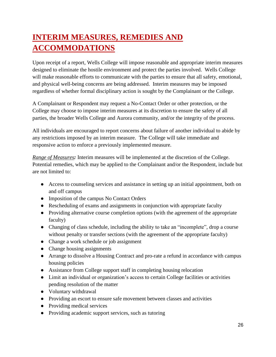# **INTERIM MEASURES, REMEDIES AND ACCOMMODATIONS**

Upon receipt of a report, Wells College will impose reasonable and appropriate interim measures designed to eliminate the hostile environment and protect the parties involved. Wells College will make reasonable efforts to communicate with the parties to ensure that all safety, emotional, and physical well-being concerns are being addressed. Interim measures may be imposed regardless of whether formal disciplinary action is sought by the Complainant or the College.

A Complainant or Respondent may request a No-Contact Order or other protection, or the College may choose to impose interim measures at its discretion to ensure the safety of all parties, the broader Wells College and Aurora community, and/or the integrity of the process.

All individuals are encouraged to report concerns about failure of another individual to abide by any restrictions imposed by an interim measure. The College will take immediate and responsive action to enforce a previously implemented measure.

*Range of Measures:* Interim measures will be implemented at the discretion of the College. Potential remedies, which may be applied to the Complainant and/or the Respondent, include but are not limited to:

- Access to counseling services and assistance in setting up an initial appointment, both on and off campus
- Imposition of the campus No Contact Orders
- Rescheduling of exams and assignments in conjunction with appropriate faculty
- Providing alternative course completion options (with the agreement of the appropriate faculty)
- Changing of class schedule, including the ability to take an "incomplete", drop a course without penalty or transfer sections (with the agreement of the appropriate faculty)
- Change a work schedule or job assignment
- Change housing assignments
- Arrange to dissolve a Housing Contract and pro-rate a refund in accordance with campus housing policies
- Assistance from College support staff in completing housing relocation
- Limit an individual or organization's access to certain College facilities or activities pending resolution of the matter
- Voluntary withdrawal
- Providing an escort to ensure safe movement between classes and activities
- Providing medical services
- Providing academic support services, such as tutoring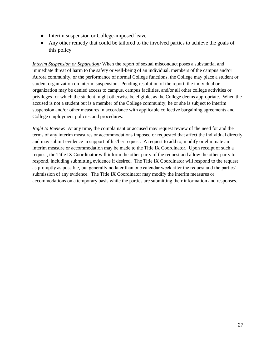- Interim suspension or College-imposed leave
- Any other remedy that could be tailored to the involved parties to achieve the goals of this policy

*Interim Suspension or Separation:* When the report of sexual misconduct poses a substantial and immediate threat of harm to the safety or well-being of an individual, members of the campus and/or Aurora community, or the performance of normal College functions, the College may place a student or student organization on interim suspension. Pending resolution of the report, the individual or organization may be denied access to campus, campus facilities, and/or all other college activities or privileges for which the student might otherwise be eligible, as the College deems appropriate. When the accused is not a student but is a member of the College community, he or she is subject to interim suspension and/or other measures in accordance with applicable collective bargaining agreements and College employment policies and procedures.

*Right to Review*: At any time, the complainant or accused may request review of the need for and the terms of any interim measures or accommodations imposed or requested that affect the individual directly and may submit evidence in support of his/her request. A request to add to, modify or eliminate an interim measure or accommodation may be made to the Title IX Coordinator. Upon receipt of such a request, the Title IX Coordinator will inform the other party of the request and allow the other party to respond, including submitting evidence if desired. The Title IX Coordinator will respond to the request as promptly as possible, but generally no later than one calendar week after the request and the parties' submission of any evidence. The Title IX Coordinator may modify the interim measures or accommodations on a temporary basis while the parties are submitting their information and responses.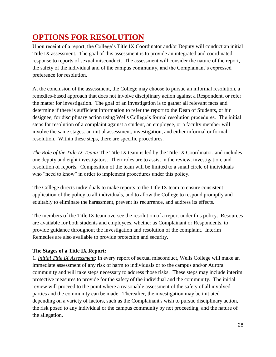# **OPTIONS FOR RESOLUTION**

Upon receipt of a report, the College's Title IX Coordinator and/or Deputy will conduct an initial Title IX assessment. The goal of this assessment is to provide an integrated and coordinated response to reports of sexual misconduct. The assessment will consider the nature of the report, the safety of the individual and of the campus community, and the Complainant's expressed preference for resolution.

At the conclusion of the assessment, the College may choose to pursue an informal resolution, a remedies-based approach that does not involve disciplinary action against a Respondent, or refer the matter for investigation. The goal of an investigation is to gather all relevant facts and determine if there is sufficient information to refer the report to the Dean of Students, or hir designee, for disciplinary action using Wells College's formal resolution procedures. The initial steps for resolution of a complaint against a student, an employee, or a faculty member will involve the same stages: an initial assessment, investigation, and either informal or formal resolution. Within these steps, there are specific procedures.

*The Role of the Title IX Team:* The Title IX team is led by the Title IX Coordinator, and includes one deputy and eight investigators. Their roles are to assist in the review, investigation, and resolution of reports. Composition of the team will be limited to a small circle of individuals who "need to know" in order to implement procedures under this policy.

The College directs individuals to make reports to the Title IX team to ensure consistent application of the policy to all individuals, and to allow the College to respond promptly and equitably to eliminate the harassment, prevent its recurrence, and address its effects.

The members of the Title IX team oversee the resolution of a report under this policy. Resources are available for both students and employees, whether as Complainant or Respondents, to provide guidance throughout the investigation and resolution of the complaint. Interim Remedies are also available to provide protection and security.

### **The Stages of a Title IX Report:**

1. *Initial Title IX Assessment*: In every report of sexual misconduct, Wells College will make an immediate assessment of any risk of harm to individuals or to the campus and/or Aurora community and will take steps necessary to address those risks. These steps may include interim protective measures to provide for the safety of the individual and the community. The initial review will proceed to the point where a reasonable assessment of the safety of all involved parties and the community can be made. Thereafter, the investigation may be initiated depending on a variety of factors, such as the Complainant's wish to pursue disciplinary action, the risk posed to any individual or the campus community by not proceeding, and the nature of the allegation.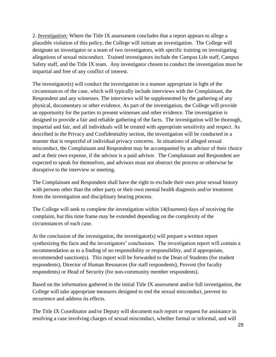2. *Investigation:* Where the Title IX assessment concludes that a report appears to allege a plausible violation of this policy, the College will initiate an investigation. The College will designate an investigator or a team of two investigators, with specific training on investigating allegations of sexual misconduct. Trained investigators include the Campus Life staff, Campus Safety staff, and the Title IX team. Any investigator chosen to conduct the investigation must be impartial and free of any conflict of interest.

The investigator(s) will conduct the investigation in a manner appropriate in light of the circumstances of the case, which will typically include interviews with the Complainant, the Respondent and any witnesses. The interviews will be supplemented by the gathering of any physical, documentary or other evidence. As part of the investigation, the College will provide an opportunity for the parties to present witnesses and other evidence. The investigation is designed to provide a fair and reliable gathering of the facts. The investigation will be thorough, impartial and fair, and all individuals will be treated with appropriate sensitivity and respect. As described in the Privacy and Confidentiality section, the investigation will be conducted in a manner that is respectful of individual privacy concerns. In situations of alleged sexual misconduct, the Complainant and Respondent may be accompanied by an advisor of their choice and at their own expense, if the advisor is a paid advisor. The Complainant and Respondent are expected to speak for themselves, and advisors must not obstruct the process or otherwise be disruptive to the interview or meeting.

The Complainant and Respondent shall have the right to exclude their own prior sexual history with persons other than the other party or their own mental health diagnosis and/or treatment from the investigation and disciplinary hearing process.

The College will seek to complete the investigation within 14(fourteen) days of receiving the complaint, but this time frame may be extended depending on the complexity of the circumstances of each case.

At the conclusion of the investigation, the investigator(s) will prepare a written report synthesizing the facts and the investigators' conclusions. The investigation report will contain a recommendation as to a finding of no responsibility or responsibility, and if appropriate, recommended sanction(s). This report will be forwarded to the Dean of Students (for student respondents), Director of Human Resources (for staff respondents), Provost (for faculty respondents) or Head of Security (for non-community member respondents).

Based on the information gathered in the initial Title IX assessment and/or full investigation, the College will take appropriate measures designed to end the sexual misconduct, prevent its recurrence and address its effects.

The Title IX Coordinator and/or Deputy will document each report or request for assistance in resolving a case involving charges of sexual misconduct, whether formal or informal, and will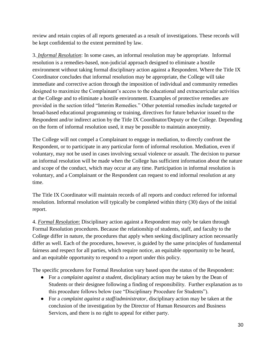review and retain copies of all reports generated as a result of investigations. These records will be kept confidential to the extent permitted by law.

3. *Informal Resolution*: In some cases, an informal resolution may be appropriate. Informal resolution is a remedies-based, non-judicial approach designed to eliminate a hostile environment without taking formal disciplinary action against a Respondent. Where the Title IX Coordinator concludes that informal resolution may be appropriate, the College will take immediate and corrective action through the imposition of individual and community remedies designed to maximize the Complainant's access to the educational and extracurricular activities at the College and to eliminate a hostile environment. Examples of protective remedies are provided in the section titled "Interim Remedies." Other potential remedies include targeted or broad-based educational programming or training, directives for future behavior issued to the Respondent and/or indirect action by the Title IX Coordinator/Deputy or the College. Depending on the form of informal resolution used, it may be possible to maintain anonymity.

The College will not compel a Complainant to engage in mediation, to directly confront the Respondent, or to participate in any particular form of informal resolution. Mediation, even if voluntary, may not be used in cases involving sexual violence or assault. The decision to pursue an informal resolution will be made when the College has sufficient information about the nature and scope of the conduct, which may occur at any time. Participation in informal resolution is voluntary, and a Complainant or the Respondent can request to end informal resolution at any time.

The Title IX Coordinator will maintain records of all reports and conduct referred for informal resolution. Informal resolution will typically be completed within thirty (30) days of the initial report.

4. *Formal Resolution*: Disciplinary action against a Respondent may only be taken through Formal Resolution procedures. Because the relationship of students, staff, and faculty to the College differ in nature, the procedures that apply when seeking disciplinary action necessarily differ as well. Each of the procedures, however, is guided by the same principles of fundamental fairness and respect for all parties, which require notice, an equitable opportunity to be heard, and an equitable opportunity to respond to a report under this policy.

The specific procedures for Formal Resolution vary based upon the status of the Respondent:

- For a *complaint against a student*, disciplinary action may be taken by the Dean of Students or their designee following a finding of responsibility. Further explanation as to this procedure follows below (see "Disciplinary Procedure for Students").
- For a *complaint against a staff/administrator*, disciplinary action may be taken at the conclusion of the investigation by the Director of Human Resources and Business Services, and there is no right to appeal for either party.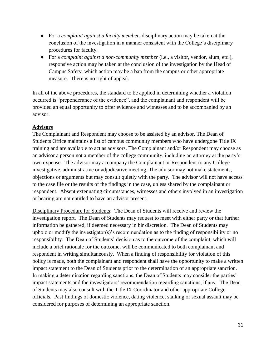- For a *complaint against a faculty member*, disciplinary action may be taken at the conclusion of the investigation in a manner consistent with the College's disciplinary procedures for faculty.
- For a *complaint against a non-community member* (i.e., a visitor, vendor, alum, etc.), responsive action may be taken at the conclusion of the investigation by the Head of Campus Safety, which action may be a ban from the campus or other appropriate measure. There is no right of appeal.

In all of the above procedures, the standard to be applied in determining whether a violation occurred is "preponderance of the evidence", and the complainant and respondent will be provided an equal opportunity to offer evidence and witnesses and to be accompanied by an advisor.

#### **Advisors**

The Complainant and Respondent may choose to be assisted by an advisor. The Dean of Students Office maintains a list of campus community members who have undergone Title IX training and are available to act as advisors. The Complainant and/or Respondent may choose as an advisor a person not a member of the college community, including an attorney at the party's own expense. The advisor may accompany the Complainant or Respondent to any College investigative, administrative or adjudicative meeting. The advisor may not make statements, objections or arguments but may consult quietly with the party. The advisor will not have access to the case file or the results of the findings in the case, unless shared by the complainant or respondent. Absent extenuating circumstances, witnesses and others involved in an investigation or hearing are not entitled to have an advisor present.

Disciplinary Procedure for Students: The Dean of Students will receive and review the investigation report. The Dean of Students may request to meet with either party or that further information be gathered, if deemed necessary in hir discretion. The Dean of Students may uphold or modify the investigator(s)'s recommendation as to the finding of responsibility or no responsibility. The Dean of Students' decision as to the outcome of the complaint, which will include a brief rationale for the outcome, will be communicated to both complainant and respondent in writing simultaneously. When a finding of responsibility for violation of this policy is made, both the complainant and respondent shall have the opportunity to make a written impact statement to the Dean of Students prior to the determination of an appropriate sanction. In making a determination regarding sanctions, the Dean of Students may consider the parties' impact statements and the investigators' recommendation regarding sanctions, if any. The Dean of Students may also consult with the Title IX Coordinator and other appropriate College officials. Past findings of domestic violence, dating violence, stalking or sexual assault may be considered for purposes of determining an appropriate sanction.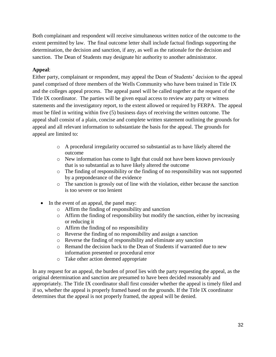Both complainant and respondent will receive simultaneous written notice of the outcome to the extent permitted by law. The final outcome letter shall include factual findings supporting the determination, the decision and sanction, if any, as well as the rationale for the decision and sanction. The Dean of Students may designate hir authority to another administrator.

#### **Appeal**:

Either party, complainant or respondent, may appeal the Dean of Students' decision to the appeal panel comprised of three members of the Wells Community who have been trained in Title IX and the colleges appeal process. The appeal panel will be called together at the request of the Title IX coordinator. The parties will be given equal access to review any party or witness statements and the investigatory report, to the extent allowed or required by FERPA. The appeal must be filed in writing within five (5) business days of receiving the written outcome. The appeal shall consist of a plain, concise and complete written statement outlining the grounds for appeal and all relevant information to substantiate the basis for the appeal. The grounds for appeal are limited to:

- o A procedural irregularity occurred so substantial as to have likely altered the outcome
- o New information has come to light that could not have been known previously that is so substantial as to have likely altered the outcome
- o The finding of responsibility or the finding of no responsibility was not supported by a preponderance of the evidence
- o The sanction is grossly out of line with the violation, either because the sanction is too severe or too lenient
- In the event of an appeal, the panel may:
	- o Affirm the finding of responsibility and sanction
	- o Affirm the finding of responsibility but modify the sanction, either by increasing or reducing it
	- o Affirm the finding of no responsibility
	- o Reverse the finding of no responsibility and assign a sanction
	- o Reverse the finding of responsibility and eliminate any sanction
	- o Remand the decision back to the Dean of Students if warranted due to new information presented or procedural error
	- o Take other action deemed appropriate

In any request for an appeal, the burden of proof lies with the party requesting the appeal, as the original determination and sanction are presumed to have been decided reasonably and appropriately. The Title IX coordinator shall first consider whether the appeal is timely filed and if so, whether the appeal is properly framed based on the grounds. If the Title IX coordinator determines that the appeal is not properly framed, the appeal will be denied.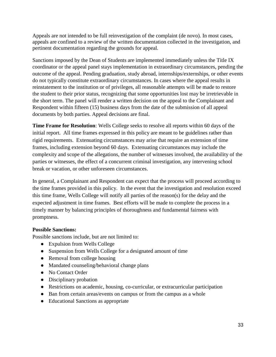Appeals are not intended to be full reinvestigation of the complaint (de novo). In most cases, appeals are confined to a review of the written documentation collected in the investigation, and pertinent documentation regarding the grounds for appeal.

Sanctions imposed by the Dean of Students are implemented immediately unless the Title IX coordinator or the appeal panel stays implementation in extraordinary circumstances, pending the outcome of the appeal. Pending graduation, study abroad, internships/externships, or other events do not typically constitute extraordinary circumstances. In cases where the appeal results in reinstatement to the institution or of privileges, all reasonable attempts will be made to restore the student to their prior status, recognizing that some opportunities lost may be irretrievable in the short term. The panel will render a written decision on the appeal to the Complainant and Respondent within fifteen (15) business days from the date of the submission of all appeal documents by both parties. Appeal decisions are final.

**Time Frame for Resolution**: Wells College seeks to resolve all reports within 60 days of the initial report. All time frames expressed in this policy are meant to be guidelines rather than rigid requirements. Extenuating circumstances may arise that require an extension of time frames, including extension beyond 60 days. Extenuating circumstances may include the complexity and scope of the allegations, the number of witnesses involved, the availability of the parties or witnesses, the effect of a concurrent criminal investigation, any intervening school break or vacation, or other unforeseen circumstances.

In general, a Complainant and Respondent can expect that the process will proceed according to the time frames provided in this policy. In the event that the investigation and resolution exceed this time frame, Wells College will notify all parties of the reason(s) for the delay and the expected adjustment in time frames. Best efforts will be made to complete the process in a timely manner by balancing principles of thoroughness and fundamental fairness with promptness.

#### **Possible Sanctions:**

Possible sanctions include, but are not limited to:

- Expulsion from Wells College
- Suspension from Wells College for a designated amount of time
- Removal from college housing
- Mandated counseling/behavioral change plans
- No Contact Order
- Disciplinary probation
- Restrictions on academic, housing, co-curricular, or extracurricular participation
- Ban from certain areas/events on campus or from the campus as a whole
- Educational Sanctions as appropriate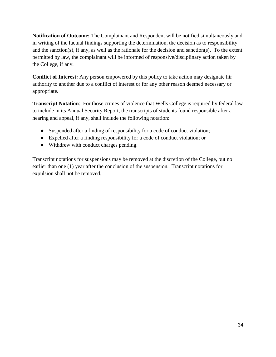**Notification of Outcome:** The Complainant and Respondent will be notified simultaneously and in writing of the factual findings supporting the determination, the decision as to responsibility and the sanction(s), if any, as well as the rationale for the decision and sanction(s). To the extent permitted by law, the complainant will be informed of responsive/disciplinary action taken by the College, if any.

**Conflict of Interest:** Any person empowered by this policy to take action may designate hir authority to another due to a conflict of interest or for any other reason deemed necessary or appropriate.

**Transcript Notation**: For those crimes of violence that Wells College is required by federal law to include in its Annual Security Report, the transcripts of students found responsible after a hearing and appeal, if any, shall include the following notation:

- Suspended after a finding of responsibility for a code of conduct violation;
- Expelled after a finding responsibility for a code of conduct violation; or
- Withdrew with conduct charges pending.

Transcript notations for suspensions may be removed at the discretion of the College, but no earlier than one (1) year after the conclusion of the suspension. Transcript notations for expulsion shall not be removed.